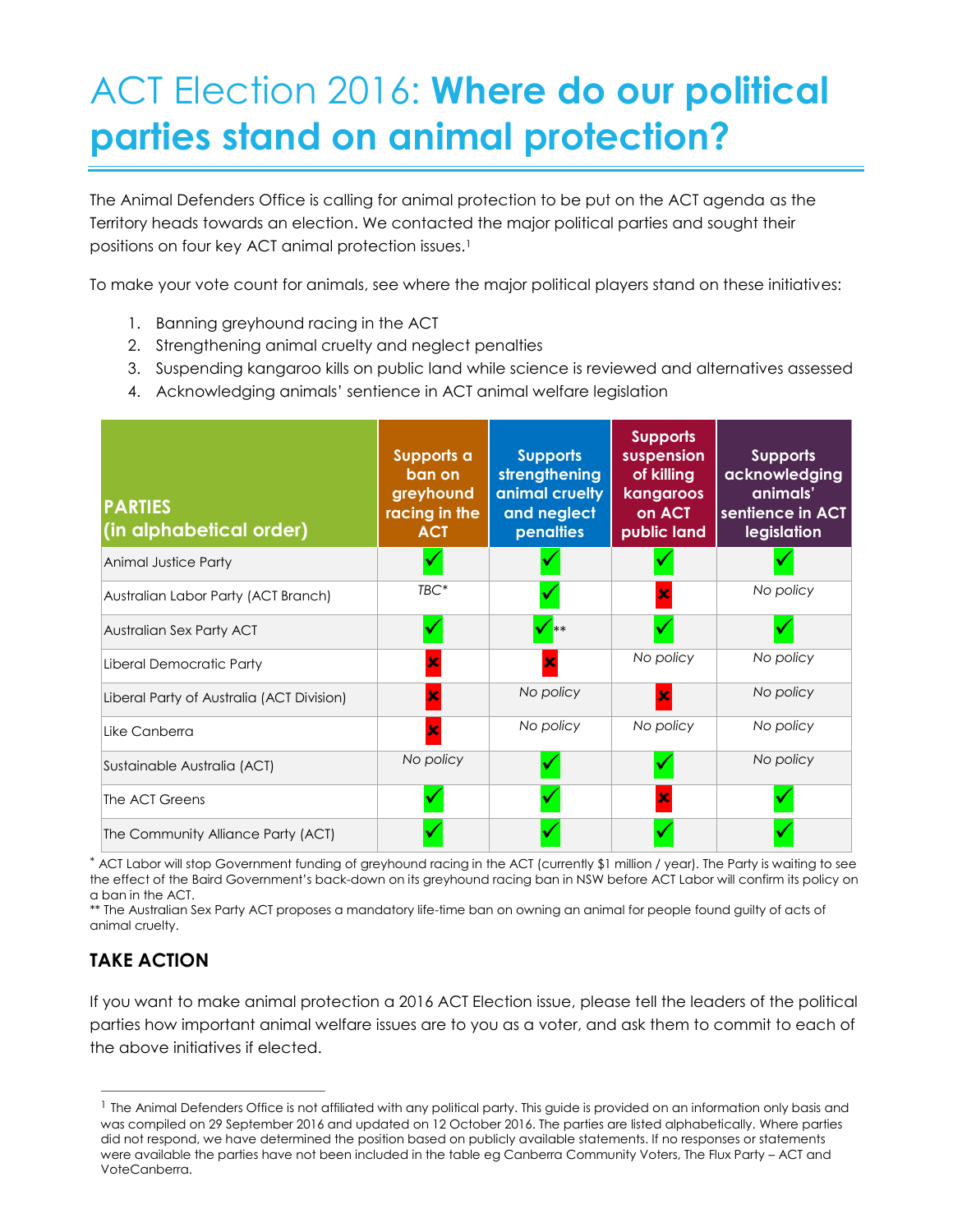## ACT Election 2016: **Where do our political parties stand on animal protection?**

The Animal Defenders Office is calling for animal protection to be put on the ACT agenda as the Territory heads towards an election. We contacted the major political parties and sought their positions on four key ACT animal protection issues.<sup>1</sup>

To make your vote count for animals, see where the major political players stand on these initiatives:

- 1. Banning greyhound racing in the ACT
- 2. Strengthening animal cruelty and neglect penalties
- 3. Suspending kangaroo kills on public land while science is reviewed and alternatives assessed
- 4. Acknowledging animals' sentience in ACT animal welfare legislation

| <b>PARTIES</b><br>(in alphabetical order) | Supports a<br>ban on<br>greyhound<br>racing in the<br><b>ACT</b> | <b>Supports</b><br>strengthening<br>animal cruelty<br>and neglect<br>penalties | <b>Supports</b><br>suspension<br>of killing<br>kangaroos<br>on ACT<br>public land | <b>Supports</b><br>acknowledging<br>animals'<br>sentience in ACT<br>legislation |
|-------------------------------------------|------------------------------------------------------------------|--------------------------------------------------------------------------------|-----------------------------------------------------------------------------------|---------------------------------------------------------------------------------|
| <b>Animal Justice Party</b>               |                                                                  |                                                                                |                                                                                   |                                                                                 |
| Australian Labor Party (ACT Branch)       | $TBC*$                                                           |                                                                                |                                                                                   | No policy                                                                       |
| Australian Sex Party ACT                  |                                                                  | $\sqrt{**}$                                                                    |                                                                                   |                                                                                 |
| Liberal Democratic Party                  |                                                                  |                                                                                | No policy                                                                         | No policy                                                                       |
| Liberal Party of Australia (ACT Division) |                                                                  | No policy                                                                      | $\overline{\mathbf{x}}$                                                           | No policy                                                                       |
| Like Canberra                             | $\overline{\mathbf{x}}$                                          | No policy                                                                      | No policy                                                                         | No policy                                                                       |
| Sustainable Australia (ACT)               | No policy                                                        |                                                                                |                                                                                   | No policy                                                                       |
| The ACT Greens                            |                                                                  |                                                                                |                                                                                   |                                                                                 |
| The Community Alliance Party (ACT)        |                                                                  |                                                                                |                                                                                   |                                                                                 |

 ACT Labor will stop Government funding of greyhound racing in the ACT (currently \$1 million / year). The Party is waiting to see the effect of the Baird Government's back-down on its greyhound racing ban in NSW before ACT Labor will confirm its policy on a ban in the ACT.

\*\* The Australian Sex Party ACT proposes a mandatory life-time ban on owning an animal for people found guilty of acts of animal cruelty.

## **TAKE ACTION**

 $\overline{a}$ 

If you want to make animal protection a 2016 ACT Election issue, please tell the leaders of the political parties how important animal welfare issues are to you as a voter, and ask them to commit to each of the above initiatives if elected.

<sup>&</sup>lt;sup>1</sup> The Animal Defenders Office is not affiliated with any political party. This guide is provided on an information only basis and was compiled on 29 September 2016 and updated on 12 October 2016. The parties are listed alphabetically. Where parties did not respond, we have determined the position based on publicly available statements. If no responses or statements were available the parties have not been included in the table eg Canberra Community Voters, The Flux Party – ACT and VoteCanberra.